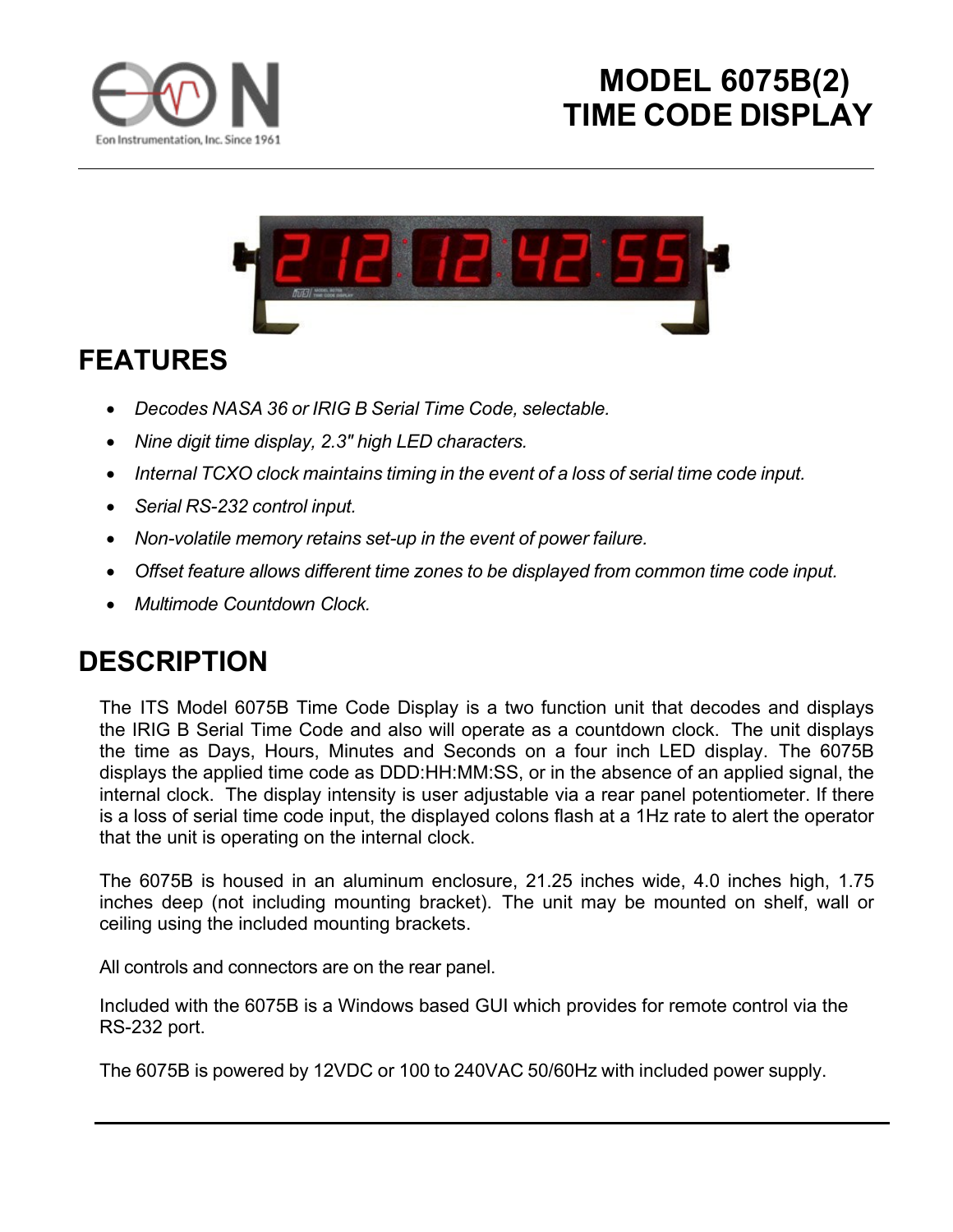

## **MODEL 6075B(2) TIME CODE DISPLAY**



## **FEATURES**

- *Decodes NASA 36 or IRIG B Serial Time Code, selectable.*
- *Nine digit time display, 2.3" high LED characters.*
- *Internal TCXO clock maintains timing in the event of a loss of serial time code input.*
- *Serial RS-232 control input.*
- *Non-volatile memory retains set-up in the event of power failure.*
- *Offset feature allows different time zones to be displayed from common time code input.*
- *Multimode Countdown Clock.*

## **DESCRIPTION**

The ITS Model 6075B Time Code Display is a two function unit that decodes and displays the IRIG B Serial Time Code and also will operate as a countdown clock. The unit displays the time as Days, Hours, Minutes and Seconds on a four inch LED display. The 6075B displays the applied time code as DDD:HH:MM:SS, or in the absence of an applied signal, the internal clock. The display intensity is user adjustable via a rear panel potentiometer. If there is a loss of serial time code input, the displayed colons flash at a 1Hz rate to alert the operator that the unit is operating on the internal clock.

The 6075B is housed in an aluminum enclosure, 21.25 inches wide, 4.0 inches high, 1.75 inches deep (not including mounting bracket). The unit may be mounted on shelf, wall or ceiling using the included mounting brackets.

All controls and connectors are on the rear panel.

Included with the 6075B is a Windows based GUI which provides for remote control via the RS-232 port.

The 6075B is powered by 12VDC or 100 to 240VAC 50/60Hz with included power supply.